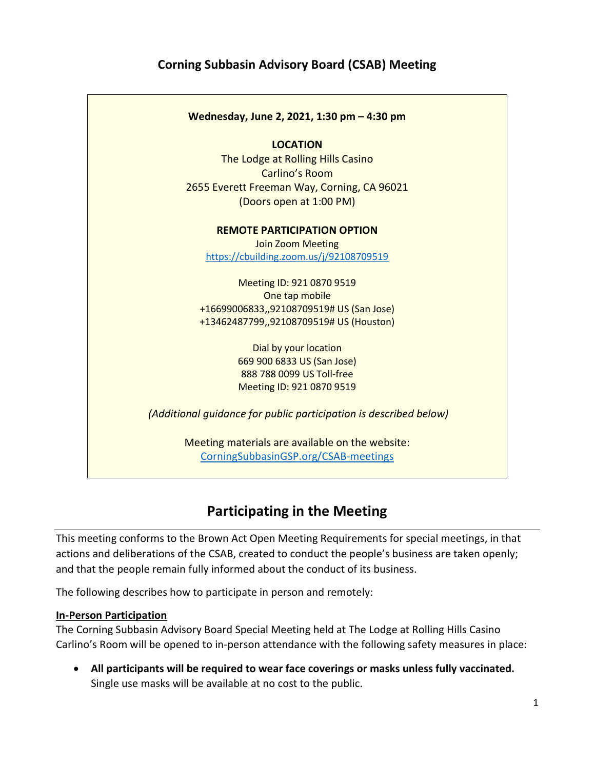## Corning Subbasin Advisory Board (CSAB) Meeting



# Participating in the Meeting

This meeting conforms to the Brown Act Open Meeting Requirements for special meetings, in that actions and deliberations of the CSAB, created to conduct the people's business are taken openly; and that the people remain fully informed about the conduct of its business.

The following describes how to participate in person and remotely:

#### In-Person Participation

The Corning Subbasin Advisory Board Special Meeting held at The Lodge at Rolling Hills Casino Carlino's Room will be opened to in-person attendance with the following safety measures in place:

 All participants will be required to wear face coverings or masks unless fully vaccinated. Single use masks will be available at no cost to the public.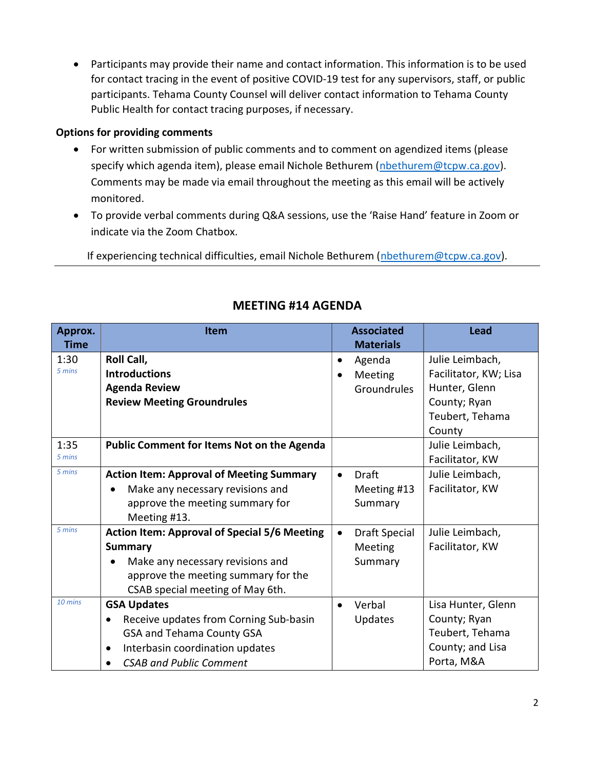Participants may provide their name and contact information. This information is to be used for contact tracing in the event of positive COVID-19 test for any supervisors, staff, or public participants. Tehama County Counsel will deliver contact information to Tehama County Public Health for contact tracing purposes, if necessary.

### Options for providing comments

- For written submission of public comments and to comment on agendized items (please specify which agenda item), please email Nichole Bethurem (nbethurem@tcpw.ca.gov). Comments may be made via email throughout the meeting as this email will be actively monitored.
- To provide verbal comments during Q&A sessions, use the 'Raise Hand' feature in Zoom or indicate via the Zoom Chatbox.

If experiencing technical difficulties, email Nichole Bethurem (nbethurem@tcpw.ca.gov).

| Approx.<br><b>Time</b> | <b>Item</b>                                                                                                                                                                              | <b>Associated</b><br><b>Materials</b>                      | <b>Lead</b>                                                                                            |
|------------------------|------------------------------------------------------------------------------------------------------------------------------------------------------------------------------------------|------------------------------------------------------------|--------------------------------------------------------------------------------------------------------|
| 1:30<br>5 mins         | Roll Call,<br><b>Introductions</b><br><b>Agenda Review</b><br><b>Review Meeting Groundrules</b>                                                                                          | Agenda<br>$\bullet$<br>Meeting<br>$\bullet$<br>Groundrules | Julie Leimbach,<br>Facilitator, KW; Lisa<br>Hunter, Glenn<br>County; Ryan<br>Teubert, Tehama<br>County |
| 1:35<br>5 mins         | <b>Public Comment for Items Not on the Agenda</b>                                                                                                                                        |                                                            | Julie Leimbach,<br>Facilitator, KW                                                                     |
| 5 mins                 | <b>Action Item: Approval of Meeting Summary</b><br>Make any necessary revisions and<br>approve the meeting summary for<br>Meeting #13.                                                   | <b>Draft</b><br>$\bullet$<br>Meeting #13<br>Summary        | Julie Leimbach,<br>Facilitator, KW                                                                     |
| 5 mins                 | <b>Action Item: Approval of Special 5/6 Meeting</b><br><b>Summary</b><br>Make any necessary revisions and<br>approve the meeting summary for the<br>CSAB special meeting of May 6th.     | <b>Draft Special</b><br>$\bullet$<br>Meeting<br>Summary    | Julie Leimbach,<br>Facilitator, KW                                                                     |
| $10 \text{ mins}$      | <b>GSA Updates</b><br>Receive updates from Corning Sub-basin<br>$\bullet$<br>GSA and Tehama County GSA<br>Interbasin coordination updates<br>$\bullet$<br><b>CSAB and Public Comment</b> | Verbal<br>$\bullet$<br>Updates                             | Lisa Hunter, Glenn<br>County; Ryan<br>Teubert, Tehama<br>County; and Lisa<br>Porta, M&A                |

## MEETING #14 AGENDA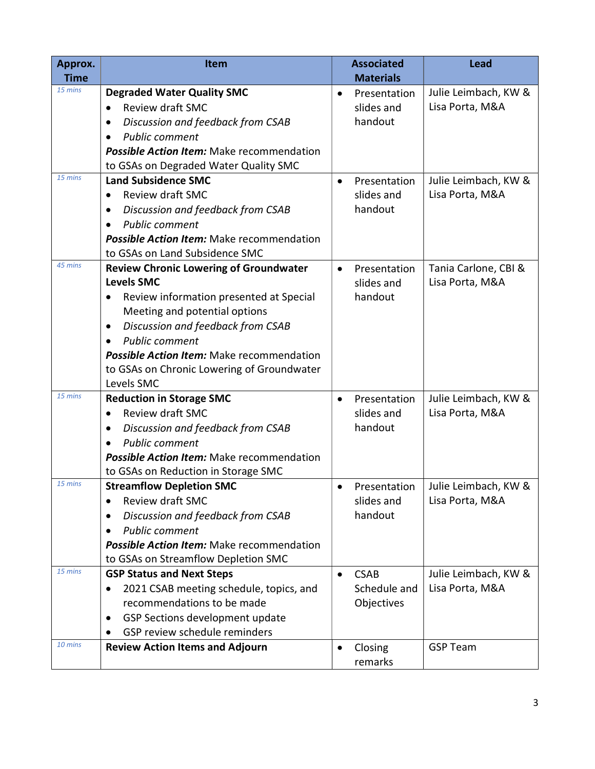| Approx.<br><b>Time</b> | <b>Item</b>                                                 |           | <b>Associated</b><br><b>Materials</b> | <b>Lead</b>                             |
|------------------------|-------------------------------------------------------------|-----------|---------------------------------------|-----------------------------------------|
| 15 mins                | <b>Degraded Water Quality SMC</b>                           | $\bullet$ | Presentation                          | Julie Leimbach, KW &                    |
|                        | Review draft SMC                                            |           | slides and                            | Lisa Porta, M&A                         |
|                        | Discussion and feedback from CSAB<br>$\bullet$              |           | handout                               |                                         |
|                        | <b>Public comment</b>                                       |           |                                       |                                         |
|                        | <b>Possible Action Item:</b> Make recommendation            |           |                                       |                                         |
|                        | to GSAs on Degraded Water Quality SMC                       |           |                                       |                                         |
| 15 mins                | <b>Land Subsidence SMC</b>                                  | $\bullet$ | Presentation                          | Julie Leimbach, KW &                    |
|                        | <b>Review draft SMC</b><br>$\bullet$                        |           | slides and                            | Lisa Porta, M&A                         |
|                        | Discussion and feedback from CSAB                           |           | handout                               |                                         |
|                        | <b>Public comment</b>                                       |           |                                       |                                         |
|                        | <b>Possible Action Item:</b> Make recommendation            |           |                                       |                                         |
|                        | to GSAs on Land Subsidence SMC                              |           |                                       |                                         |
| 45 mins                | <b>Review Chronic Lowering of Groundwater</b>               | $\bullet$ | Presentation                          | Tania Carlone, CBI &                    |
|                        | <b>Levels SMC</b>                                           |           | slides and                            | Lisa Porta, M&A                         |
|                        | Review information presented at Special<br>$\bullet$        |           | handout                               |                                         |
|                        | Meeting and potential options                               |           |                                       |                                         |
|                        | Discussion and feedback from CSAB<br>$\bullet$              |           |                                       |                                         |
|                        | <b>Public comment</b>                                       |           |                                       |                                         |
|                        | <b>Possible Action Item:</b> Make recommendation            |           |                                       |                                         |
|                        | to GSAs on Chronic Lowering of Groundwater                  |           |                                       |                                         |
|                        | Levels SMC                                                  |           |                                       |                                         |
| 15 mins                | <b>Reduction in Storage SMC</b>                             | $\bullet$ | Presentation                          | Julie Leimbach, KW &                    |
|                        | <b>Review draft SMC</b><br>$\bullet$                        |           | slides and                            | Lisa Porta, M&A                         |
|                        | Discussion and feedback from CSAB                           |           | handout                               |                                         |
|                        | <b>Public comment</b>                                       |           |                                       |                                         |
|                        | <b>Possible Action Item:</b> Make recommendation            |           |                                       |                                         |
| 15 mins                | to GSAs on Reduction in Storage SMC                         |           |                                       |                                         |
|                        | <b>Streamflow Depletion SMC</b><br>Review draft SMC         | $\bullet$ | Presentation<br>slides and            | Julie Leimbach, KW &<br>Lisa Porta, M&A |
|                        | $\bullet$<br>Discussion and feedback from CSAB<br>$\bullet$ |           | handout                               |                                         |
|                        | <b>Public comment</b><br>$\bullet$                          |           |                                       |                                         |
|                        | <b>Possible Action Item:</b> Make recommendation            |           |                                       |                                         |
|                        | to GSAs on Streamflow Depletion SMC                         |           |                                       |                                         |
| 15 mins                | <b>GSP Status and Next Steps</b>                            | $\bullet$ | <b>CSAB</b>                           | Julie Leimbach, KW &                    |
|                        | 2021 CSAB meeting schedule, topics, and<br>٠                |           | Schedule and                          | Lisa Porta, M&A                         |
|                        | recommendations to be made                                  |           | Objectives                            |                                         |
|                        | GSP Sections development update<br>$\bullet$                |           |                                       |                                         |
|                        | GSP review schedule reminders                               |           |                                       |                                         |
| 10 mins                | <b>Review Action Items and Adjourn</b>                      | ٠         | Closing<br>remarks                    | <b>GSP Team</b>                         |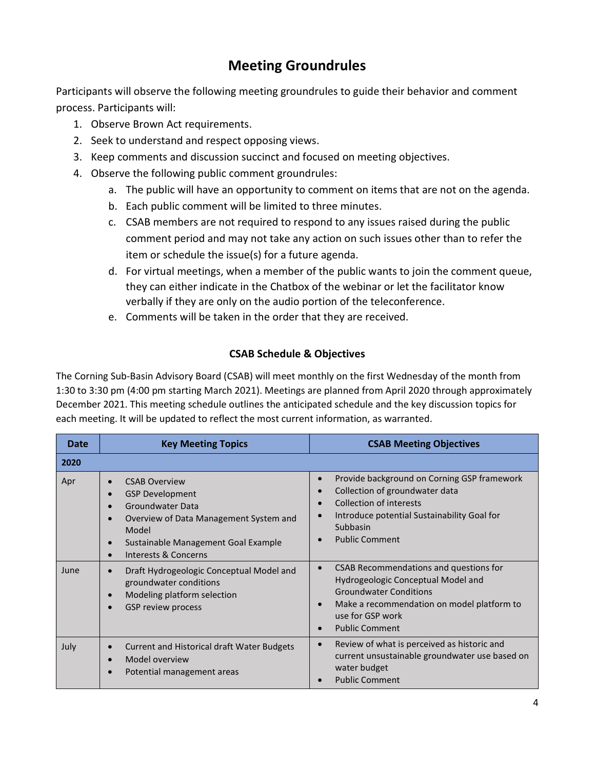# Meeting Groundrules

Participants will observe the following meeting groundrules to guide their behavior and comment process. Participants will:

- 1. Observe Brown Act requirements.
- 2. Seek to understand and respect opposing views.
- 3. Keep comments and discussion succinct and focused on meeting objectives.
- 4. Observe the following public comment groundrules:
	- a. The public will have an opportunity to comment on items that are not on the agenda.
	- b. Each public comment will be limited to three minutes.
	- c. CSAB members are not required to respond to any issues raised during the public comment period and may not take any action on such issues other than to refer the item or schedule the issue(s) for a future agenda.
	- d. For virtual meetings, when a member of the public wants to join the comment queue, they can either indicate in the Chatbox of the webinar or let the facilitator know verbally if they are only on the audio portion of the teleconference.
	- e. Comments will be taken in the order that they are received.

### CSAB Schedule & Objectives

The Corning Sub-Basin Advisory Board (CSAB) will meet monthly on the first Wednesday of the month from 1:30 to 3:30 pm (4:00 pm starting March 2021). Meetings are planned from April 2020 through approximately December 2021. This meeting schedule outlines the anticipated schedule and the key discussion topics for each meeting. It will be updated to reflect the most current information, as warranted.

| Date | <b>Key Meeting Topics</b>                                                                                                                                                                                                                                                 | <b>CSAB Meeting Objectives</b>                                                                                                                                                                           |  |
|------|---------------------------------------------------------------------------------------------------------------------------------------------------------------------------------------------------------------------------------------------------------------------------|----------------------------------------------------------------------------------------------------------------------------------------------------------------------------------------------------------|--|
| 2020 |                                                                                                                                                                                                                                                                           |                                                                                                                                                                                                          |  |
| Apr  | <b>CSAB Overview</b><br>$\bullet$<br><b>GSP Development</b><br>$\bullet$<br><b>Groundwater Data</b><br>$\bullet$<br>Overview of Data Management System and<br>$\bullet$<br>Model<br>Sustainable Management Goal Example<br>$\bullet$<br>Interests & Concerns<br>$\bullet$ | Provide background on Corning GSP framework<br>Collection of groundwater data<br><b>Collection of interests</b><br>Introduce potential Sustainability Goal for<br>Subbasin<br><b>Public Comment</b>      |  |
| June | Draft Hydrogeologic Conceptual Model and<br>$\bullet$<br>groundwater conditions<br>Modeling platform selection<br>$\bullet$<br>GSP review process<br>$\bullet$                                                                                                            | CSAB Recommendations and questions for<br>Hydrogeologic Conceptual Model and<br><b>Groundwater Conditions</b><br>Make a recommendation on model platform to<br>use for GSP work<br><b>Public Comment</b> |  |
| July | <b>Current and Historical draft Water Budgets</b><br>$\bullet$<br>Model overview<br>$\bullet$<br>Potential management areas<br>$\bullet$                                                                                                                                  | Review of what is perceived as historic and<br>current unsustainable groundwater use based on<br>water budget<br><b>Public Comment</b>                                                                   |  |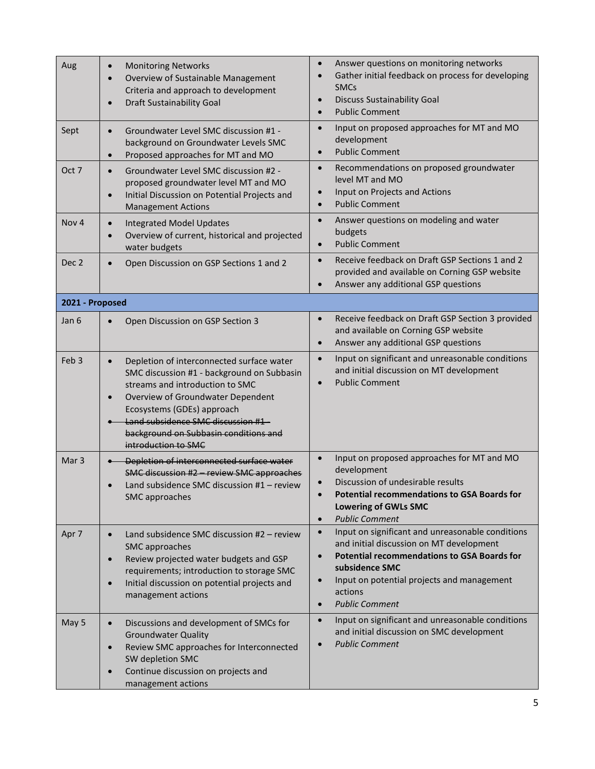| Aug              | <b>Monitoring Networks</b><br>$\bullet$<br>Overview of Sustainable Management<br>$\bullet$<br>Criteria and approach to development<br><b>Draft Sustainability Goal</b><br>$\bullet$                                                                                                                                           | Answer questions on monitoring networks<br>$\bullet$<br>Gather initial feedback on process for developing<br>$\bullet$<br><b>SMCs</b><br><b>Discuss Sustainability Goal</b><br>$\bullet$<br><b>Public Comment</b><br>$\bullet$                                                                             |
|------------------|-------------------------------------------------------------------------------------------------------------------------------------------------------------------------------------------------------------------------------------------------------------------------------------------------------------------------------|------------------------------------------------------------------------------------------------------------------------------------------------------------------------------------------------------------------------------------------------------------------------------------------------------------|
| Sept             | Groundwater Level SMC discussion #1 -<br>$\bullet$<br>background on Groundwater Levels SMC<br>Proposed approaches for MT and MO<br>$\bullet$                                                                                                                                                                                  | Input on proposed approaches for MT and MO<br>$\bullet$<br>development<br><b>Public Comment</b><br>$\bullet$                                                                                                                                                                                               |
| Oct 7            | Groundwater Level SMC discussion #2 -<br>$\bullet$<br>proposed groundwater level MT and MO<br>Initial Discussion on Potential Projects and<br>$\bullet$<br><b>Management Actions</b>                                                                                                                                          | Recommendations on proposed groundwater<br>$\bullet$<br>level MT and MO<br>Input on Projects and Actions<br>$\bullet$<br><b>Public Comment</b><br>$\bullet$                                                                                                                                                |
| Nov <sub>4</sub> | <b>Integrated Model Updates</b><br>$\bullet$<br>Overview of current, historical and projected<br>$\bullet$<br>water budgets                                                                                                                                                                                                   | Answer questions on modeling and water<br>$\bullet$<br>budgets<br><b>Public Comment</b><br>$\bullet$                                                                                                                                                                                                       |
| Dec <sub>2</sub> | Open Discussion on GSP Sections 1 and 2<br>$\bullet$                                                                                                                                                                                                                                                                          | Receive feedback on Draft GSP Sections 1 and 2<br>$\bullet$<br>provided and available on Corning GSP website<br>Answer any additional GSP questions<br>$\bullet$                                                                                                                                           |
| 2021 - Proposed  |                                                                                                                                                                                                                                                                                                                               |                                                                                                                                                                                                                                                                                                            |
| Jan 6            | Open Discussion on GSP Section 3<br>$\bullet$                                                                                                                                                                                                                                                                                 | Receive feedback on Draft GSP Section 3 provided<br>$\bullet$<br>and available on Corning GSP website<br>Answer any additional GSP questions<br>$\bullet$                                                                                                                                                  |
| Feb <sub>3</sub> | Depletion of interconnected surface water<br>$\bullet$<br>SMC discussion #1 - background on Subbasin<br>streams and introduction to SMC<br>Overview of Groundwater Dependent<br>$\bullet$<br>Ecosystems (GDEs) approach<br>Land subsidence SMC discussion #1-<br>background on Subbasin conditions and<br>introduction to SMC | Input on significant and unreasonable conditions<br>$\bullet$<br>and initial discussion on MT development<br><b>Public Comment</b><br>$\bullet$                                                                                                                                                            |
| Mar <sub>3</sub> | -Depletion of interconnected surface water<br>SMC discussion #2 - review SMC approaches<br>Land subsidence SMC discussion #1 - review<br>SMC approaches                                                                                                                                                                       | Input on proposed approaches for MT and MO<br>$\bullet$<br>development<br>Discussion of undesirable results<br>$\bullet$<br><b>Potential recommendations to GSA Boards for</b><br><b>Lowering of GWLs SMC</b><br><b>Public Comment</b><br>$\bullet$                                                        |
| Apr 7            | Land subsidence SMC discussion #2 - review<br>$\bullet$<br>SMC approaches<br>Review projected water budgets and GSP<br>$\bullet$<br>requirements; introduction to storage SMC<br>Initial discussion on potential projects and<br>$\bullet$<br>management actions                                                              | Input on significant and unreasonable conditions<br>$\bullet$<br>and initial discussion on MT development<br><b>Potential recommendations to GSA Boards for</b><br>$\bullet$<br>subsidence SMC<br>Input on potential projects and management<br>$\bullet$<br>actions<br><b>Public Comment</b><br>$\bullet$ |
| May 5            | Discussions and development of SMCs for<br>$\bullet$<br><b>Groundwater Quality</b><br>Review SMC approaches for Interconnected<br>$\bullet$<br>SW depletion SMC<br>Continue discussion on projects and<br>$\bullet$<br>management actions                                                                                     | Input on significant and unreasonable conditions<br>$\bullet$<br>and initial discussion on SMC development<br><b>Public Comment</b><br>$\bullet$                                                                                                                                                           |